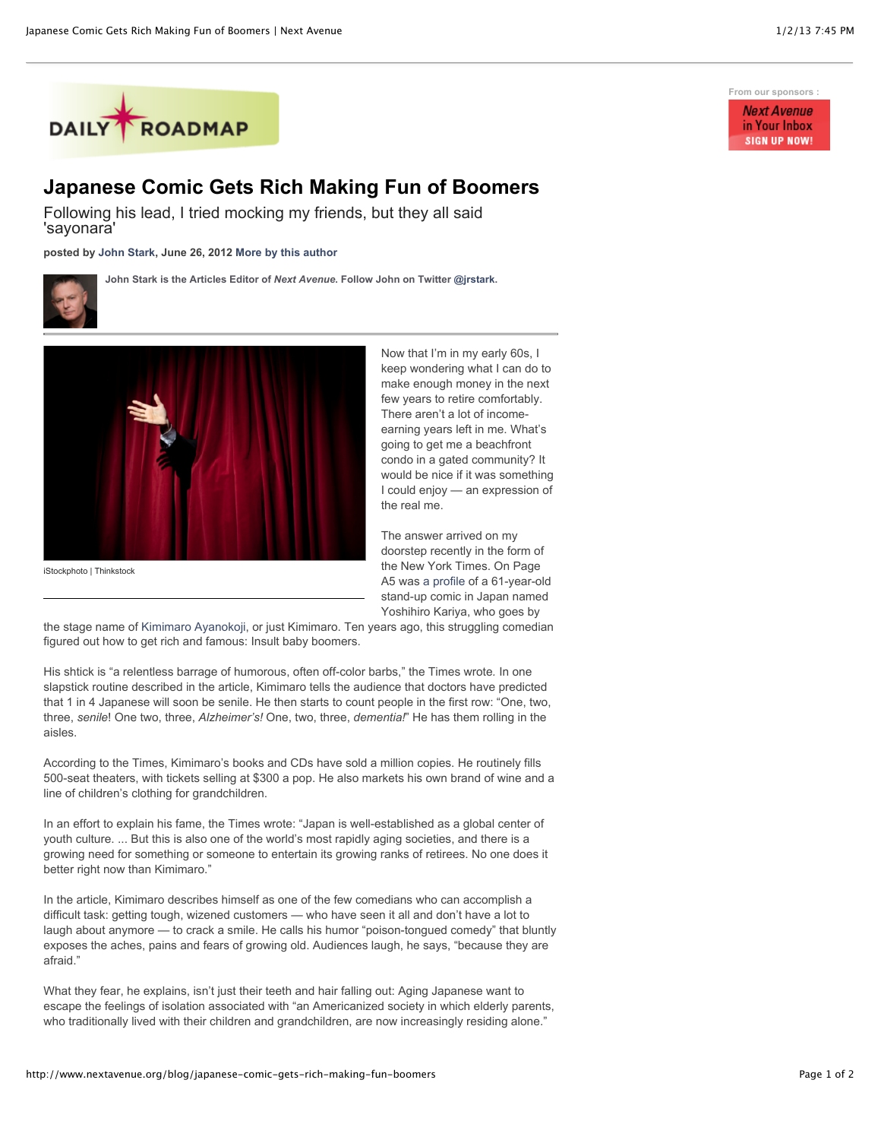

## **Japanese Comic Gets Rich Making Fun of Boomers**

Following his lead, I tried mocking my friends, but they all said 'sayonara'

**posted by [John Stark,](http://www.nextavenue.org/staff/john-stark) June 26, 2012 [More by this author](http://www.nextavenue.org/staff/john-stark)**



**John Stark is the Articles Editor of** *Next Avenue***. Follow John on Twitter [@jrstark.](http://twitter.com/jrstark)**



iStockphoto | Thinkstock

Now that I'm in my early 60s, I keep wondering what I can do to make enough money in the next few years to retire comfortably. There aren't a lot of incomeearning years left in me. What's going to get me a beachfront condo in a gated community? It would be nice if it was something I could enjoy — an expression of the real me.

The answer arrived on my doorstep recently in the form of the New York Times. On Page A5 was [a profile](http://www.nytimes.com/2012/03/24/world/asia/kimimaro-puts-a-smile-on-japans-aging-faces.html?_r=1&scp=1&sq=Kimimaro%20Ayanokoji&st=cse) of a 61-year-old stand-up comic in Japan named Yoshihiro Kariya, who goes by

the stage name of [Kimimaro Ayanokoji,](http://www.kimimaro.com/) or just Kimimaro. Ten years ago, this struggling comedian figured out how to get rich and famous: Insult baby boomers.

His shtick is "a relentless barrage of humorous, often off-color barbs," the Times wrote*.* In one slapstick routine described in the article, Kimimaro tells the audience that doctors have predicted that 1 in 4 Japanese will soon be senile. He then starts to count people in the first row: "One, two, three, *senile*! One two, three, *Alzheimer's!* One, two, three, *dementia!*" He has them rolling in the aisles.

According to the Times, Kimimaro's books and CDs have sold a million copies. He routinely fills 500-seat theaters, with tickets selling at \$300 a pop. He also markets his own brand of wine and a line of children's clothing for grandchildren.

In an effort to explain his fame, the Times wrote: "Japan is well-established as a global center of youth culture. ... But this is also one of the world's most rapidly aging societies, and there is a growing need for something or someone to entertain its growing ranks of retirees. No one does it better right now than Kimimaro."

In the article, Kimimaro describes himself as one of the few comedians who can accomplish a difficult task: getting tough, wizened customers — who have seen it all and don't have a lot to laugh about anymore — to crack a smile. He calls his humor "poison-tongued comedy" that bluntly exposes the aches, pains and fears of growing old. Audiences laugh, he says, "because they are afraid."

What they fear, he explains, isn't just their teeth and hair falling out: Aging Japanese want to escape the feelings of isolation associated with "an Americanized society in which elderly parents, who traditionally lived with their children and grandchildren, are now increasingly residing alone."